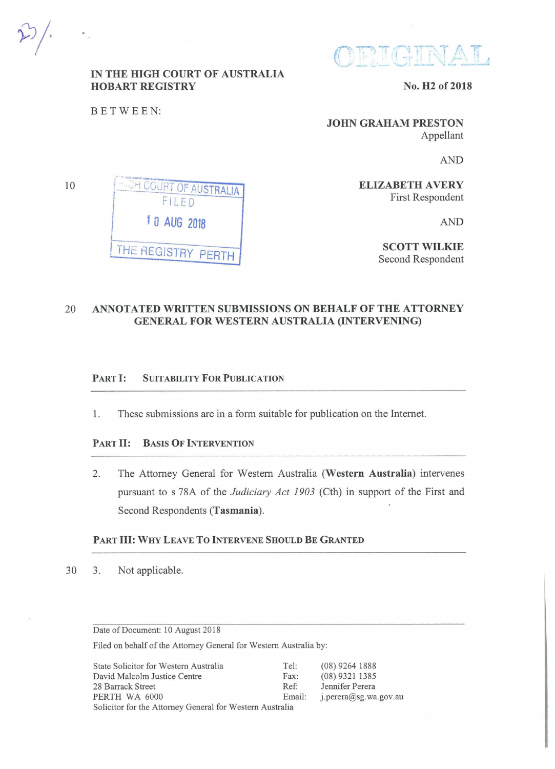${{\color{red}\mathbf{ORICINAL}}}$ 

# IN THE HIGH COURT OF AUSTRALIA HOBART REGISTRY

No. H2 of 2018

BETWEEN:

10

JOHN GRAHAM PRESTON Appellant

AND

**ELIZABETH AVERY** First Respondent

AND

SCOTT WILKIE Second Respondent

20 ANNOTATED WRITTEN SUBMISSIONS ON BEHALF OF THE ATTORNEY GENERAL FOR WESTERN AUSTRALIA (INTERVENING)

### PART I: SUITABILITY FOR PUBLICATION

1. These submissions are in a form suitable for publication on the Internet.

### PART II: BASIS OF INTERVENTION

2. The Attorney General for Western Australia (Western Australia) intervenes pursuant to s 78A of the *Judiciary Act 1903* (Cth) in support of the First and Second Respondents (Tasmania).

## PART III: WHY LEAVE TO INTERVENE SHOULD BE GRANTED

30 3. Not applicable.

Date of Document: 10 August 2018

Filed on behalf of the Attorney General for Western Australia by:

| State Solicitor for Western Australia                    | Tel:   | $(08)$ 9264 1888      |
|----------------------------------------------------------|--------|-----------------------|
| David Malcolm Justice Centre                             | Fax:   | $(08)$ 9321 1385      |
| 28 Barrack Street                                        | $Ref+$ | Jennifer Perera       |
| PERTH WA 6000                                            | Email: | j.perera@sg.wa.gov.au |
| Solicitor for the Attorney General for Western Australia |        |                       |

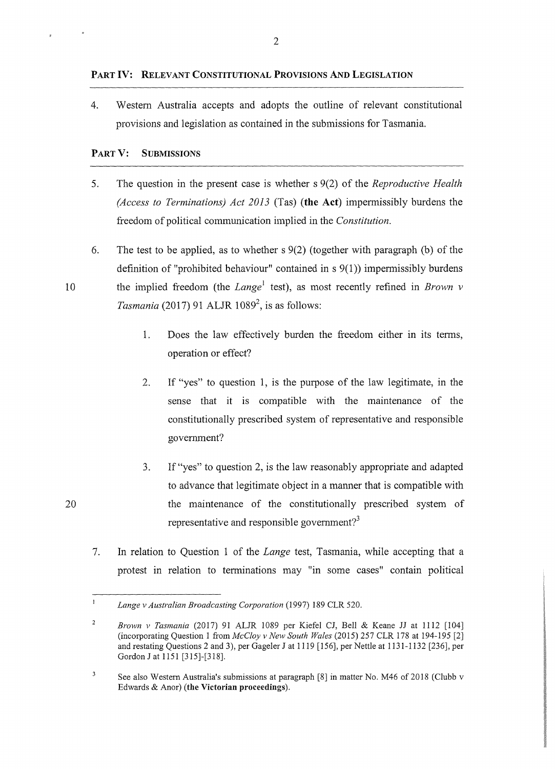#### **PART IV: RELEVANT CONSTITUTIONAL PROVISIONS AND LEGISLATION**

4. Western Australia accepts and adopts the outline of relevant constitutional provisions and legislation as contained in the submissions for Tasmania.

## **PART V: SUBMISSIONS**

5. The question in the present case is whether s 9(2) of the *Reproductive Health (Access to Terminations) Act 2013* (Tas) **(the Act)** impermissibly burdens the freedom of political communication implied in the *Constitution.* 

6. The test to be applied, as to whether s 9(2) (together with paragraph (b) of the definition of "prohibited behaviour" contained in  $s(1)$ ) impermissibly burdens 10 the implied freedom (the *Lange<sup>1</sup>* test), as most recently refined in *Brown v Tasmania* (2017) 91 ALJR 1089<sup>2</sup>, is as follows:

- 1. Does the law effectively burden the freedom either in its terms, operation or effect?
- 2. If "yes" to question 1, is the purpose of the law legitimate, in the sense that it is compatible with the maintenance of the constitutionally prescribed system of representative and responsible government?
- 3. If"yes" to question 2, is the law reasonably appropriate and adapted to advance that legitimate object in a manner that is compatible with the maintenance of the constitutionally prescribed system of representative and responsible government?<sup>3</sup>
- 7. In relation to Question 1 of the *Lange* test, Tasmania, while accepting that a protest in relation to terminations may "in some cases" contain political

 $\mathbf{l}$ *Lange v Australian Broadcasting Corporation* (1997) 189 CLR 520.

 $\overline{2}$ *Brown v Tasmania* (2017) 91 ALJR 1089 per Kiefel CJ, Bell & Keane JJ at 1112 (104] (incorporating Question I from *McCloy v New South Wales* (2015) 257 CLR 178 at 194-195 [2] and restating Questions 2 and 3), per Gageler J at 1119 [156], per Nettle at 1131-1132 [236], per Gordon J at 1151 [315]-[318].

 $\sqrt{3}$ See also Western Australia's submissions at paragraph [8] in matter No. M46 of 2018 (Clubb v Edwards & Anor) **(the Victorian proceedings).**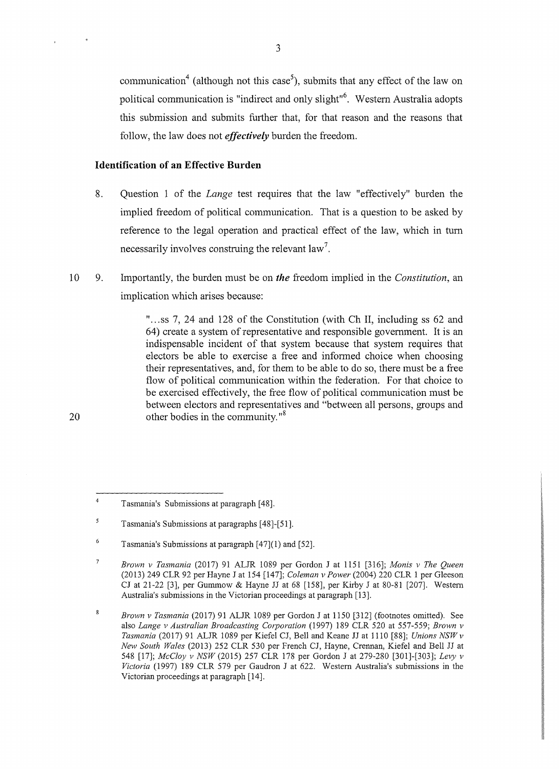communication<sup>4</sup> (although not this case<sup>5</sup>), submits that any effect of the law on political communication is "indirect and only slight"<sup>6</sup>. Western Australia adopts this submission and submits further that, for that reason and the reasons that follow, the law does not *effectively* burden the freedom.

## **Identification of an Effective Burden**

- 8. Question 1 of the *Lange* test requires that the law "effectively" burden the implied freedom of political communication. That is a question to be asked by reference to the legal operation and practical effect of the law, which in tum necessarily involves construing the relevant law<sup>7</sup>.
- 10 9. Importantly, the burden must be on *the* freedom implied in the *Constitution,* an implication which arises because:

"...ss 7, 24 and 128 of the Constitution (with Ch II, including ss 62 and 64) create a system of representative and responsible government. It is an indispensable incident of that system because that system requires that electors be able to exercise a free and informed choice when choosing their representatives, and, for them to be able to do so, there must be a free flow of political communication within the federation. For that choice to be exercised effectively, the free flow of political communication must be between electors and representatives and "between all persons, groups and other bodies in the community."<sup>8</sup>

<sup>4</sup>  Tasmania's Submissions at paragraph [48].

*<sup>5</sup>*  Tasmania's Submissions at paragraphs [ 48]-[51 ].

<sup>6</sup>  Tasmania's Submissions at paragraph [47](1) and [52).

<sup>7</sup>  *Brown v Tasmania* (2017) 91 ALJR 1089 per Gordon J at 1151 (316); *Manis v The Queen*  (2013) 249 CLR 92 per Hayne J at 154 [147]; *Coleman v Power* (2004) 220 CLR 1 per Gleeson CJ at 21-22 [3], per Gummow & Hayne JJ at 68 [158], per Kirby J at 80-81 [207]. Western Australia's submissions in the Victorian proceedings at paragraph [13].

<sup>8</sup> *Brown v Tasmania* (20 17) 91 ALJR 1089 per Gordon J at 1150 [312] (footnotes omitted). See also *Lange v Australian Broadcasting Corporation* (1997) 189 CLR 520 at 557-559; *Brown v Tasmania* (2017) 91 ALJR 1089 per Kiefe1 CJ, Bell and Keane JJ at 1110 [88]; *Unions NSWv New South Wales* (2013) 252 CLR 530 per French CJ, Hayne, Crennan, Kiefel and Bell JJ at 548 [17]; *McCloy v NSW(2015)* 257 CLR 178 per Gordon J at 279-280 [301]-[303]; *Levy v Victoria* (1997) 189 CLR 579 per Gaudron J at 622. Western Australia's submissions in the Victorian proceedings at paragraph [14].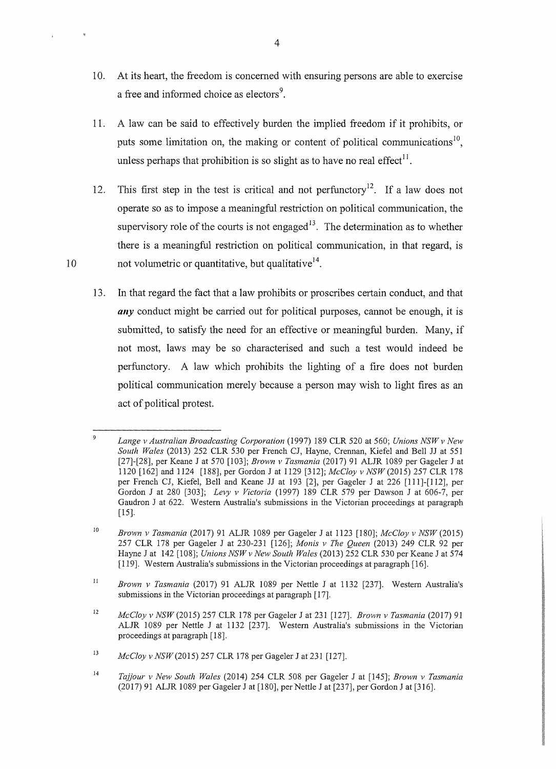- 10. At its heart, the freedom is concerned with ensuring persons are able to exercise a free and informed choice as electors<sup>9</sup>.
- 11. A law can be said to effectively burden the implied freedom if it prohibits, or puts some limitation on, the making or content of political communications<sup>10</sup>, unless perhaps that prohibition is so slight as to have no real effect<sup>11</sup>.
- 12. This first step in the test is critical and not perfunctory<sup>12</sup>. If a law does not operate so as to impose a meaningful restriction on political communication, the supervisory role of the courts is not engaged<sup>13</sup>. The determination as to whether there is a meaningful restriction on political communication, in that regard, is 10 not volumetric or quantitative, but qualitative<sup>14</sup>.
	- 13. In that regard the fact that a law prohibits or proscribes certain conduct, and that **any** conduct might be carried out for political purposes, cannot be enough, it is submitted, to satisfy the need for an effective or meaningful burden. Many, if not most, laws may be so characterised and such a test would indeed be perfunctory. A law which prohibits the lighting of a fire does not burden political communication merely because a person may wish to light fires as an act of political protest.

 $\mathfrak g$ *Lange v Australian Broadcasting Corporation* (1997) 189 CLR 520 at 560; *Unions NSW v New South Wales* (2013) 252 CLR 530 per French CJ, Hayne, Crennan, Kiefel and Bell JJ at 551 [27]-[28], per Keane J at 570 [103]; *Brown v Tasmania* (2017) 91 ALJR 1089 per Gageler J at 1120 [162) and 1124 [I 88], per Gordon J at I 129 [312]; *McCloy v NSW* (20I5) 257 CLR 178 per French CJ, Kiefel, Bell and Keane JJ at 193 [2], per Gageler J at 226 [111]-[112], per Gordon J at 280 (303]; *Levy v Victoria* (1997) 189 CLR 579 per Dawson J at 606-7, per Gaudron J at 622. Western Australia's submissions in the Victorian proceedings at paragraph (15].

<sup>10</sup>  *Brown v Tasmania* (20I7) 9I ALJR 1089 per Gageler J at 1123 [180]; *McCloy v* NSW(2015) 257 CLR 178 per Gageler J at 230-231 [126]; *Manis v The Queen* (2013) 249 CLR 92 per Hayne J at 142 [108]; *Unions NSW v New South Wales* (2013) 252 CLR 530 per Keane J at 574 [119]. Western Australia's submissions in the Victorian proceedings at paragraph [16).

<sup>11</sup>  *Brown v Tasmania* (2017) 91 ALJR 1089 per Nettle J at 1132 [237]. Western Australia's submissions in the Victorian proceedings at paragraph [17].

<sup>12</sup>  *McCloy v* NSW(2015) 257 CLR 178 per Gageler J at 231 [127]. *Brown v Tasmania* (20I7) 91 ALJR 1089 per Nettle J at 1132 (237). Western Australia's submissions in the Victorian proceedings at paragraph [18].

<sup>13</sup>  *McCloy v* NSW(2015) 257 CLR 178 per Gageler J at 231 [127].

<sup>14</sup>  *Tajjour v New South Wales* (2014) 254 CLR 508 per Gageler J at [145]; *Brown v Tasmania*  (2017) 91 ALJR 1089 perGageler J at [180], per Nettle J at (237], per Gordon J at[316).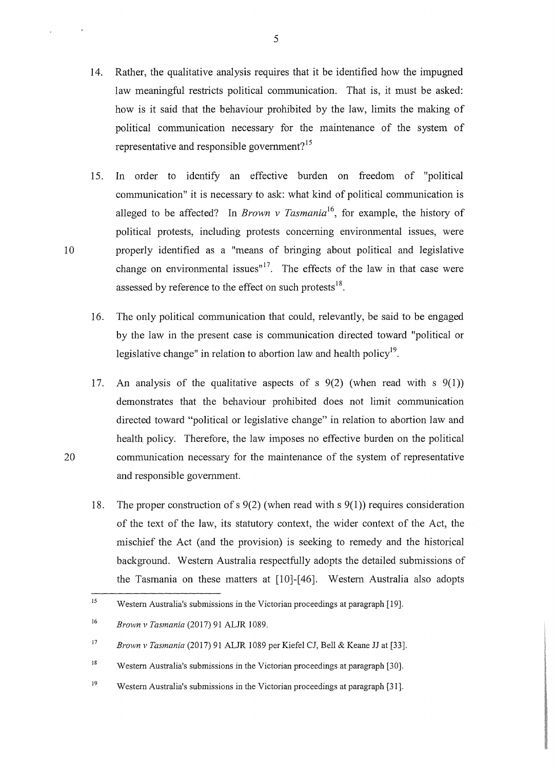- 14. Rather, the qualitative analysis requires that it be identified how the impugned law meaningful restricts political communication. That is, it must be asked: how is it said that the behaviour prohibited by the law, limits the making of political communication necessary for the maintenance of the system of representative and responsible government? <sup>15</sup>
- 15. In order to identify an effective burden on freedom of "political communication" it is necessary to ask: what kind of political communication is alleged to be affected? In *Brown v Tasmania*<sup>16</sup>, for example, the history of political protests, including protests concerning environmental issues, were 10 properly identified as a "means of bringing about political and legislative change on environmental issues"<sup>17</sup>. The effects of the law in that case were assessed by reference to the effect on such protests<sup>18</sup>.
	- 16. The only political communication that could, relevantly, be said to be engaged by the law in the present case is communication directed toward "political or legislative change" in relation to abortion law and health policy<sup>19</sup>.
- 17. An analysis of the qualitative aspects of s 9(2) (when read with s 9(1)) demonstrates that the behaviour prohibited does not limit communication directed toward "political or legislative change" in relation to abortion law and health policy. Therefore, the law imposes no effective burden on the political 20 communication necessary for the maintenance of the system of representative and responsible government.
	- 18. The proper construction of s 9(2) (when read with s 9(1 )) requires consideration of the text of the law, its statutory context, the wider context of the Act, the mischief the Act (and the provision) is seeking to remedy and the historical background. Western Australia respectfully adopts the detailed submissions of the Tasmania on these matters at [10]-[46]. Western Australia also adopts

<sup>&</sup>lt;sup>15</sup> Western Australia's submissions in the Victorian proceedings at paragraph [19].

<sup>16</sup>*Brown v Tasmania* (2017) 91 ALJR 1089.

<sup>&</sup>lt;sup>17</sup> Brown v Tasmania (2017) 91 ALJR 1089 per Kiefel CJ, Bell & Keane JJ at [33].

<sup>&</sup>lt;sup>18</sup> Western Australia's submissions in the Victorian proceedings at paragraph [30].

<sup>&</sup>lt;sup>19</sup> Western Australia's submissions in the Victorian proceedings at paragraph [31].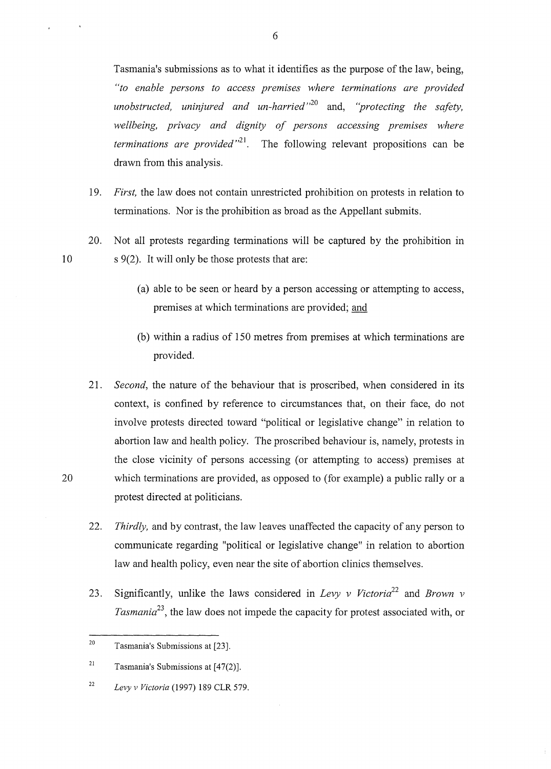Tasmania's submissions as to what it identifies as the purpose of the law, being, *"to enable persons to access premises where terminations are provided unobstructed, uninjured and un-harried* " 20 and, *"protecting the safety, wellbeing, privacy and dignity of persons accessing premises where terminations are provided* " <sup>21</sup> . The following relevant propositions can be drawn from this analysis.

- 19. *First,* the law does not contain unrestricted prohibition on protests in relation to terminations. Nor is the prohibition as broad as the Appellant submits.
- 20. Not all protests regarding terminations will be captured by the prohibition in 10 s 9(2). It will only be those protests that are:
	- (a) able to be seen or heard by a person accessing or attempting to access, premises at which terminations are provided; and
	- (b) within a radius of 150 metres from premises at which terminations are provided.
- 21. *Second,* the nature of the behaviour that is proscribed, when considered in its context, is confined by reference to circumstances that, on their face, do not involve protests directed toward "political or legislative change" in relation to abortion law and health policy. The proscribed behaviour is, namely, protests in the close vicinity of persons accessing (or attempting to access) premises at 20 which terminations are provided, as opposed to (for example) a public rally or a protest directed at politicians.
	- 22. *Thirdly,* and by contrast, the law leaves unaffected the capacity of any person to communicate regarding "political or legislative change" in relation to abortion law and health policy, even near the site of abortion clinics themselves.
	- 23. Significantly, unlike the laws considered in *Levy v Victoria*<sup>22</sup> and *Brown v Tasmania<sup>23</sup> ,* the law does not impede the capacity for protest associated with, or

<sup>22</sup>*Levy v Victoria* (1997) 189 CLR 579.

<sup>20</sup> Tasmania's Submissions at [23].

<sup>&</sup>lt;sup>21</sup> Tasmania's Submissions at  $[47(2)]$ .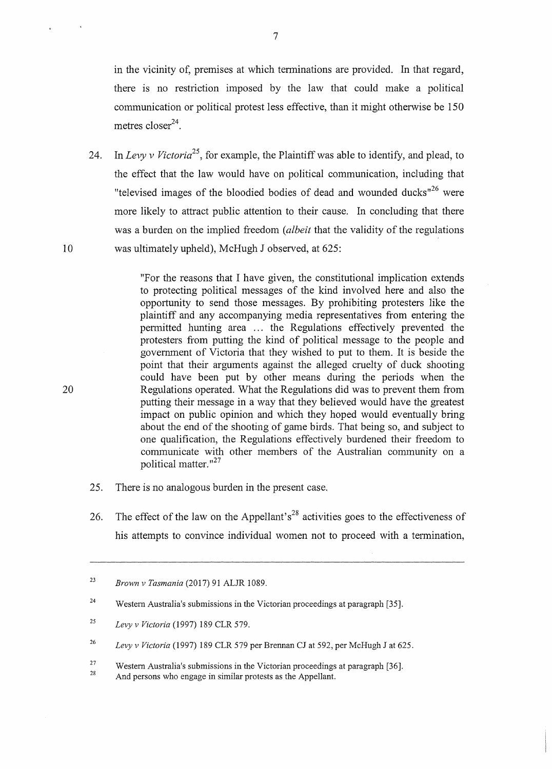in the vicinity of, premises at which terminations are provided. In that regard, there is no restriction imposed by the law that could make a political communication or political protest less effective, than it might otherwise be 150 metres  $\text{closer}^{24}$ .

24. In *Levy v Victoria25,* for example, the Plaintiff was able to identify, and plead, to the effect that the law would have on political communication, including that "televised images of the bloodied bodies of dead and wounded ducks"<sup>26</sup> were more likely to attract public attention to their cause. In concluding that there was a burden on the implied freedom *(albeit* that the validity of the regulations 10 was ultimately upheld), McHugh J observed, at 625:

"For the reasons that I have given, the constitutional implication extends to protecting political messages of the kind involved here and also the opportunity to send those messages. By prohibiting protesters like the plaintiff and any accompanying media representatives from entering the permitted hunting area ... the Regulations effectively prevented the protesters from putting the kind of political message to the people and government of Victoria that they wished to put to them. It is beside the point that their arguments against the alleged cruelty of duck shooting could have been put by other means during the periods when the 20 Regulations operated. What the Regulations did was to prevent them from putting their message in a way that they believed would have the greatest impact on public opinion and which they hoped would eventually bring about the end of the shooting of game birds. That being so, and subject to one qualification, the Regulations effectively burdened their freedom to communicate with other members of the Australian community on a political matter."<sup>27</sup>

- 25. There is no analogous burden in the present case.
- 26. The effect of the law on the Appellant's<sup>28</sup> activities goes to the effectiveness of his attempts to convince individual women not to proceed with a termination,

<sup>23</sup>  *Brown v Tasmania* (2017) 91 ALJR 1089.

<sup>24</sup>  Western Australia's submissions in the Victorian proceedings at paragraph [35].

<sup>25</sup>  *Levy v Victoria* (1997) 189 CLR 579.

<sup>26</sup>  *Levy v Victoria* (1997) 189 CLR 579 per Brennan CJ at 592, per McHugh J at 625.

<sup>27</sup>  28 Western Australia's submissions in the Victorian proceedings at paragraph [36].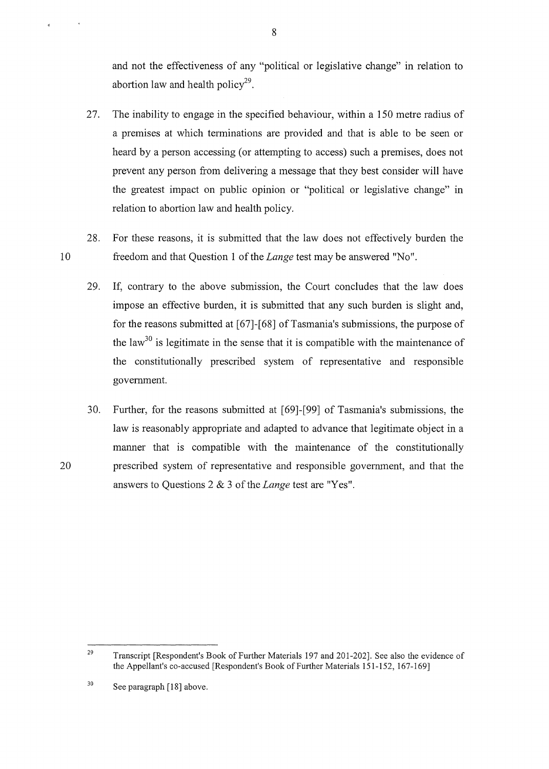and not the effectiveness of any "political or legislative change" in relation to abortion law and health policy<sup>29</sup>.

- 27. The inability to engage in the specified behaviour, within a 150 metre radius of a premises at which terminations are provided and that is able to be seen or heard by a person accessing (or attempting to access) such a premises, does not prevent any person from delivering a message that they best consider will have the greatest impact on public opinion or "political or legislative change" in relation to abortion law and health policy.
- 28. For these reasons, it is submitted that the law does not effectively burden the 1 0 freedom and that Question 1 of the *Lange* test may be answered "No".
	- 29. If, contrary to the above submission, the Court concludes that the law does impose an effective burden, it is submitted that any such burden is slight and, for the reasons submitted at [67]-[68] of Tasmania's submissions, the purpose of the  $1$ aw<sup>30</sup> is legitimate in the sense that it is compatible with the maintenance of the constitutionally prescribed system of representative and responsible government.
- 30. Further, for the reasons submitted at [69]-[99] of Tasmania's submissions, the law is reasonably appropriate and adapted to advance that legitimate object in a manner that is compatible with the maintenance of the constitutionally 20 prescribed system of representative and responsible government, and that the answers to Questions 2 & 3 of the *Lange* test are "Yes".

<sup>29</sup>  Transcript [Respondent's Book of Further Materials 197 and 201-202]. See also the evidence of the Appellant's co-accused [Respondent's Book of Further Materials 151-152, 167-169]

<sup>30</sup>  See paragraph [18] above.